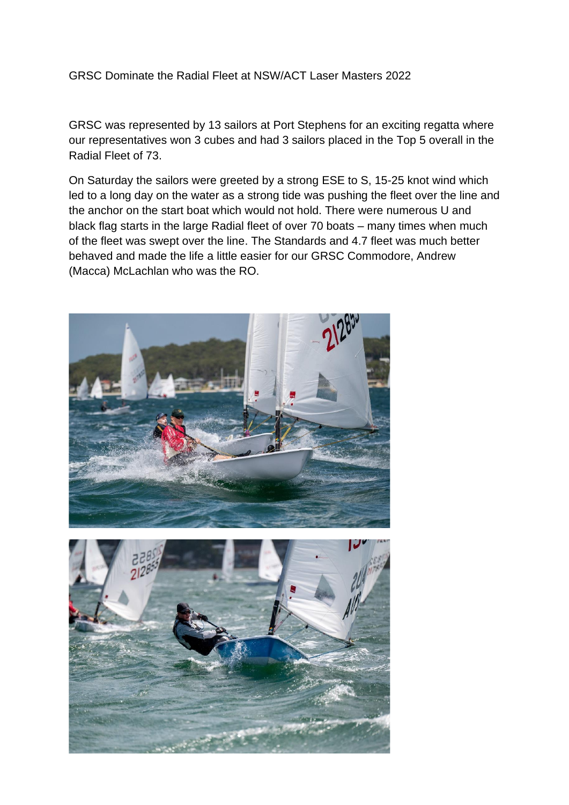## GRSC Dominate the Radial Fleet at NSW/ACT Laser Masters 2022

GRSC was represented by 13 sailors at Port Stephens for an exciting regatta where our representatives won 3 cubes and had 3 sailors placed in the Top 5 overall in the Radial Fleet of 73.

On Saturday the sailors were greeted by a strong ESE to S, 15-25 knot wind which led to a long day on the water as a strong tide was pushing the fleet over the line and the anchor on the start boat which would not hold. There were numerous U and black flag starts in the large Radial fleet of over 70 boats – many times when much of the fleet was swept over the line. The Standards and 4.7 fleet was much better behaved and made the life a little easier for our GRSC Commodore, Andrew (Macca) McLachlan who was the RO.

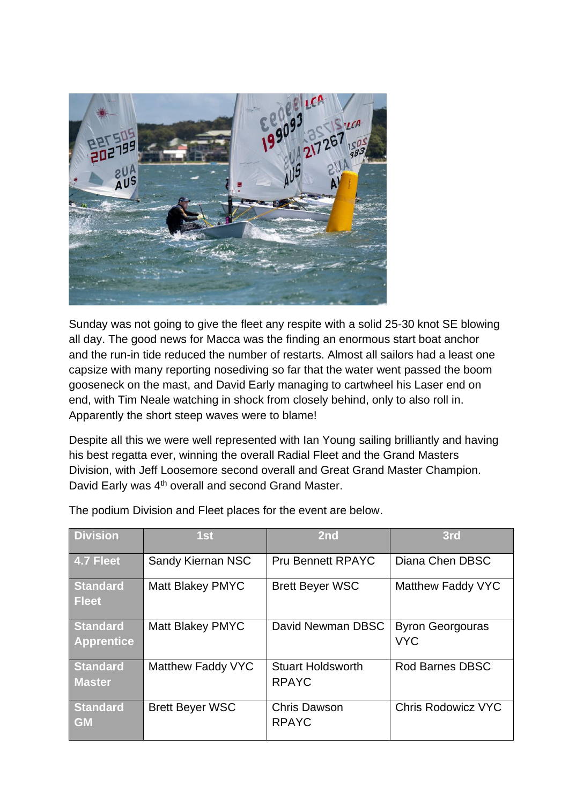

Sunday was not going to give the fleet any respite with a solid 25-30 knot SE blowing all day. The good news for Macca was the finding an enormous start boat anchor and the run-in tide reduced the number of restarts. Almost all sailors had a least one capsize with many reporting nosediving so far that the water went passed the boom gooseneck on the mast, and David Early managing to cartwheel his Laser end on end, with Tim Neale watching in shock from closely behind, only to also roll in. Apparently the short steep waves were to blame!

Despite all this we were well represented with Ian Young sailing brilliantly and having his best regatta ever, winning the overall Radial Fleet and the Grand Masters Division, with Jeff Loosemore second overall and Great Grand Master Champion. David Early was 4<sup>th</sup> overall and second Grand Master.

| <b>Division</b>                      | 1st                      | 2nd                                      | 3rd                                   |
|--------------------------------------|--------------------------|------------------------------------------|---------------------------------------|
| 4.7 Fleet                            | <b>Sandy Kiernan NSC</b> | <b>Pru Bennett RPAYC</b>                 | Diana Chen DBSC                       |
| <b>Standard</b><br><b>Fleet</b>      | Matt Blakey PMYC         | <b>Brett Beyer WSC</b>                   | Matthew Faddy VYC                     |
| <b>Standard</b><br><b>Apprentice</b> | Matt Blakey PMYC         | David Newman DBSC                        | <b>Byron Georgouras</b><br><b>VYC</b> |
| <b>Standard</b><br><b>Master</b>     | Matthew Faddy VYC        | <b>Stuart Holdsworth</b><br><b>RPAYC</b> | <b>Rod Barnes DBSC</b>                |
| <b>Standard</b><br><b>GM</b>         | <b>Brett Beyer WSC</b>   | <b>Chris Dawson</b><br><b>RPAYC</b>      | <b>Chris Rodowicz VYC</b>             |

The podium Division and Fleet places for the event are below.